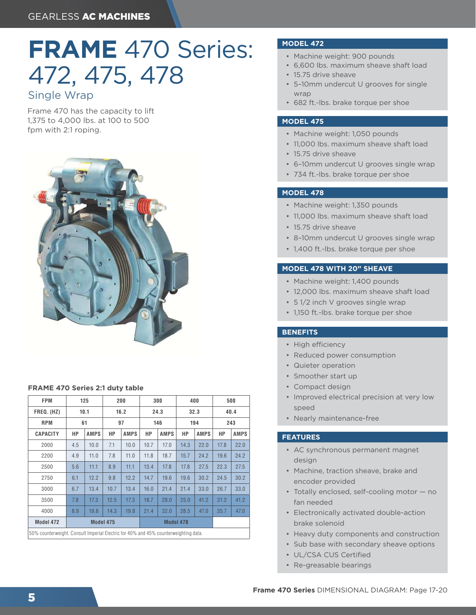# **FRAME** 470 Series: 472, 475, 478

## Single Wrap

Frame 470 has the capacity to lift 1,375 to 4,000 lbs. at 100 to 500 fpm with 2:1 roping.



#### **FRAME 470 Series 2:1 duty table**

| <b>FPM</b>                                                                          | 125       |             | 200  |             | 300       |             | 400  |             | 500  |             |
|-------------------------------------------------------------------------------------|-----------|-------------|------|-------------|-----------|-------------|------|-------------|------|-------------|
| FREQ. (HZ)                                                                          | 10.1      |             | 16.2 |             | 24.3      |             | 32.3 |             | 40.4 |             |
| <b>RPM</b>                                                                          | 61        |             | 97   |             | 146       |             | 194  |             | 243  |             |
| <b>CAPACITY</b>                                                                     | НP        | <b>AMPS</b> | НP   | <b>AMPS</b> | НP        | <b>AMPS</b> | НP   | <b>AMPS</b> | НP   | <b>AMPS</b> |
| 2000                                                                                | 4.5       | 10.0        | 7.1  | 10.0        | 10.7      | 17.0        | 14.3 | 22.0        | 17.8 | 22.0        |
| 2200                                                                                | 4.9       | 11.0        | 7.8  | 11.0        | 11.8      | 18.7        | 15.7 | 24.2        | 19.6 | 24.2        |
| 2500                                                                                | 5.6       | 11.1        | 8.9  | 11.1        | 13.4      | 17.8        | 17.8 | 27.5        | 22.3 | 27.5        |
| 2750                                                                                | 6.1       | 12.2        | 9.8  | 12.2        | 14.7      | 19.6        | 19.6 | 30.2        | 24.5 | 30.2        |
| 3000                                                                                | 6.7       | 13.4        | 10.7 | 13.4        | 16.0      | 21.4        | 21.4 | 33.0        | 26.7 | 33.0        |
| 3500                                                                                | 7.8       | 17.3        | 12.5 | 17.3        | 18.7      | 28.0        | 25.0 | 41.2        | 31.2 | 41.2        |
| 4000                                                                                | 8.9       | 19.8        | 14.3 | 19.8        | 21.4      | 32.0        | 28.5 | 47.0        | 35.7 | 47.0        |
| Model 472                                                                           | Model 475 |             |      |             | Model 478 |             |      |             |      |             |
| 50% counterweight. Consult Imperial Electric for 40% and 45% counterweighting data. |           |             |      |             |           |             |      |             |      |             |

#### **MODEL 472**

- Machine weight: 900 pounds
- 6,600 lbs. maximum sheave shaft load
- 15.75 drive sheave
- 5–10mm undercut U grooves for single wrap
- 682 ft.-lbs. brake torque per shoe

#### **MODEL 475**

- Machine weight: 1,050 pounds
- 11,000 lbs. maximum sheave shaft load
- 15.75 drive sheave
- 6–10mm undercut U grooves single wrap
- 734 ft.-lbs. brake torque per shoe

#### **MODEL 478**

- Machine weight: 1,350 pounds
- 11,000 lbs. maximum sheave shaft load
- 15.75 drive sheave
- 8–10mm undercut U grooves single wrap
- 1,400 ft.-lbs. brake torque per shoe

#### **MODEL 478 WITH 20" SHEAVE**

- Machine weight: 1,400 pounds
- 12,000 lbs. maximum sheave shaft load
- 5 1/2 inch V grooves single wrap
- 1,150 ft.-lbs. brake torque per shoe

#### **BENEFITS**

- High efficiency
- Reduced power consumption
- Quieter operation
- Smoother start up
- Compact design
- Improved electrical precision at very low speed
- Nearly maintenance-free

#### **FEATURES**

- AC synchronous permanent magnet design
- Machine, traction sheave, brake and encoder provided
- Totally enclosed, self-cooling motor no fan needed
- Electronically activated double-action brake solenoid
- Heavy duty components and construction
- Sub base with secondary sheave options
- UL/CSA CUS Certified
- Re-greasable bearings